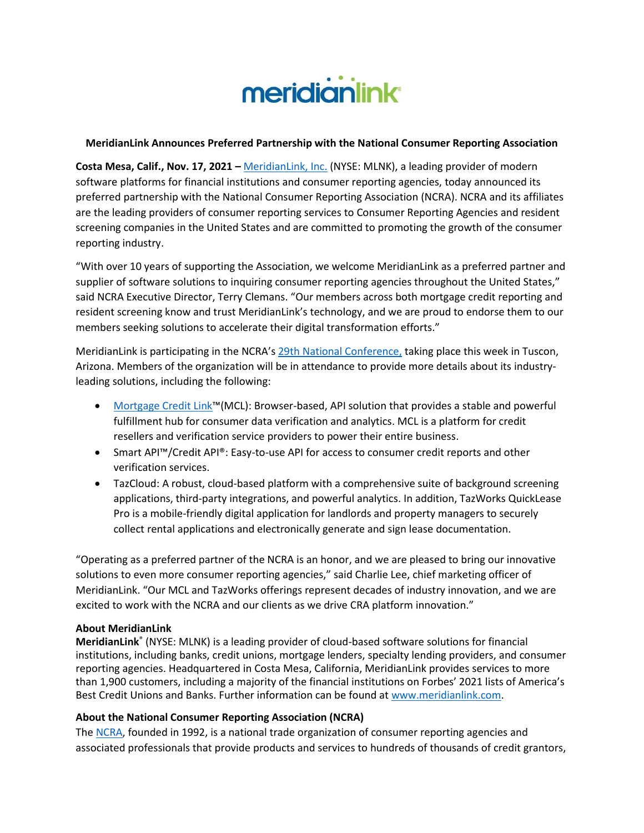

## **MeridianLink Announces Preferred Partnership with the National Consumer Reporting Association**

**Costa Mesa, Calif., Nov. 17, 2021 –** [MeridianLink, Inc.](https://meridianlink.me/3lFVAy5) (NYSE: MLNK), a leading provider of modern software platforms for financial institutions and consumer reporting agencies, today announced its preferred partnership with the National Consumer Reporting Association (NCRA). NCRA and its affiliates are the leading providers of consumer reporting services to Consumer Reporting Agencies and resident screening companies in the United States and are committed to promoting the growth of the consumer reporting industry.

"With over 10 years of supporting the Association, we welcome MeridianLink as a preferred partner and supplier of software solutions to inquiring consumer reporting agencies throughout the United States," said NCRA Executive Director, Terry Clemans. "Our members across both mortgage credit reporting and resident screening know and trust MeridianLink's technology, and we are proud to endorse them to our members seeking solutions to accelerate their digital transformation efforts."

MeridianLink is participating in the NCRA's [29th National Conference,](https://www.ncrainc.org/empoweren74324.html) taking place this week in Tuscon, Arizona. Members of the organization will be in attendance to provide more details about its industryleading solutions, including the following:

- [Mortgage Credit Link](https://www.meridianlink.com/products/mortgage-credit-link)™(MCL): Browser-based, API solution that provides a stable and powerful fulfillment hub for consumer data verification and analytics. MCL is a platform for credit resellers and verification service providers to power their entire business.
- Smart API™/Credit API®: Easy-to-use API for access to consumer credit reports and other verification services.
- TazCloud: A robust, cloud-based platform with a comprehensive suite of background screening applications, third-party integrations, and powerful analytics. In addition, TazWorks QuickLease Pro is a mobile-friendly digital application for landlords and property managers to securely collect rental applications and electronically generate and sign lease documentation.

"Operating as a preferred partner of the NCRA is an honor, and we are pleased to bring our innovative solutions to even more consumer reporting agencies," said Charlie Lee, chief marketing officer of MeridianLink. "Our MCL and TazWorks offerings represent decades of industry innovation, and we are excited to work with the NCRA and our clients as we drive CRA platform innovation."

## **About MeridianLink**

**MeridianLink**® (NYSE: MLNK) is a leading provider of cloud-based software solutions for financial institutions, including banks, credit unions, mortgage lenders, specialty lending providers, and consumer reporting agencies. Headquartered in Costa Mesa, California, MeridianLink provides services to more than 1,900 customers, including a majority of the financial institutions on Forbes' 2021 lists of America's Best Credit Unions and Banks. Further information can be found at www.meridianlink.com.

## **About the National Consumer Reporting Association (NCRA)**

The [NCRA,](https://www.ncrainc.org/) founded in 1992, is a national trade organization of consumer reporting agencies and associated professionals that provide products and services to hundreds of thousands of credit grantors,